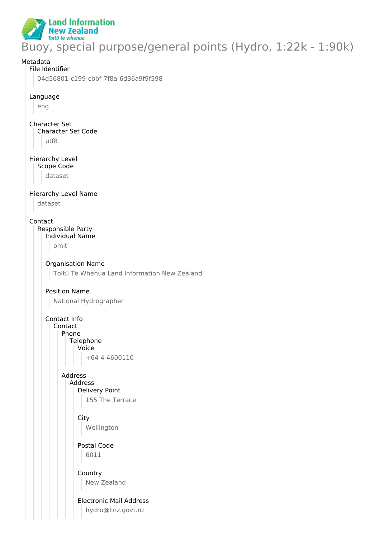

Buoy, special purpose/general points (Hydro, 1:22k - 1:90k)

# Metadata File Identifier 04d56801-c199-cbbf-7f8a-6d36a9f9f598 Language eng Character Set Character Set Code utf8 Hierarchy Level Scope Code dataset Hierarchy Level Name dataset Contact Responsible Party Individual Name omit Organisation Name Toitū Te Whenua Land Information New Zealand Position Name National Hydrographer Contact Info Contact Phone **Telephone** Voice +64 4 4600110 Address Address Delivery Point 155 The Terrace **City** Wellington Postal Code 6011 Country New Zealand Electronic Mail Address hydro@linz.govt.nz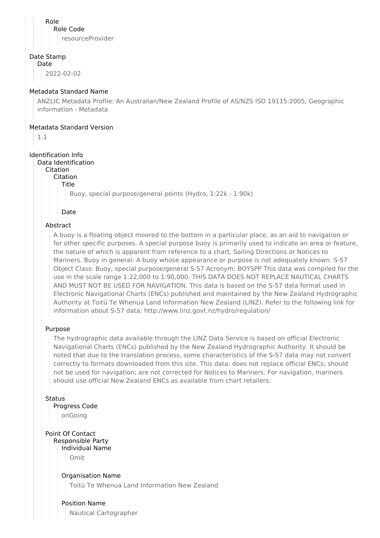Role Role Code resourceProvider

#### Date Stamp

Date

2022-02-02

# Metadata Standard Name

ANZLIC Metadata Profile: An Australian/New Zealand Profile of AS/NZS ISO 19115:2005, Geographic information - Metadata

## Metadata Standard Version

1.1

# Identification Info

#### Data Identification

Citation

Citation

Title

Buoy, special purpose/general points (Hydro, 1:22k - 1:90k)

Date

# Abstract

A buoy is a floating object moored to the bottom in a particular place, as an aid to navigation or for other specific purposes. A special purpose buoy is primarily used to indicate an area or feature, the nature of which is apparent from reference to a chart, Sailing Directions or Notices to Mariners. Buoy in general: A buoy whose appearance or purpose is not adequately known. S-57 Object Class: Buoy, special purpose/general S-57 Acronym: BOYSPP This data was compiled for the use in the scale range 1:22,000 to 1:90,000. THIS DATA DOES NOT REPLACE NAUTICAL CHARTS AND MUST NOT BE USED FOR NAVIGATION. This data is based on the S-57 data format used in Electronic Navigational Charts (ENCs) published and maintained by the New Zealand Hydrographic Authority at Toitū Te Whenua Land Information New Zealand (LINZ). Refer to the following link for information about S-57 data: http://www.linz.govt.nz/hydro/regulation/

## Purpose

The hydrographic data available through the LINZ Data Service is based on official Electronic Navigational Charts (ENCs) published by the New Zealand Hydrographic Authority. It should be noted that due to the translation process, some characteristics of the S-57 data may not convert correctly to formats downloaded from this site. This data: does not replace official ENCs; should not be used for navigation; are not corrected for Notices to Mariners. For navigation, mariners should use official New Zealand ENCs as available from chart retailers.

**Status** 

Progress Code

onGoing

Point Of Contact Responsible Party Individual Name

Omit

Organisation Name Toitū Te Whenua Land Information New Zealand

Position Name Nautical Cartographer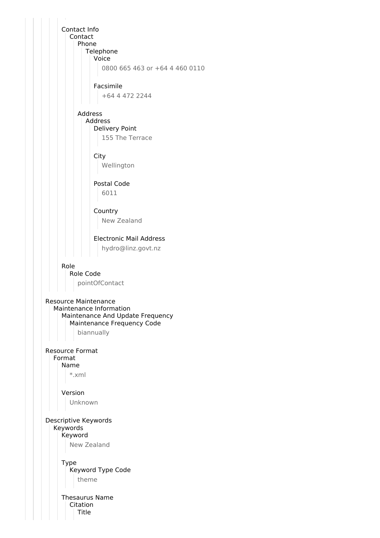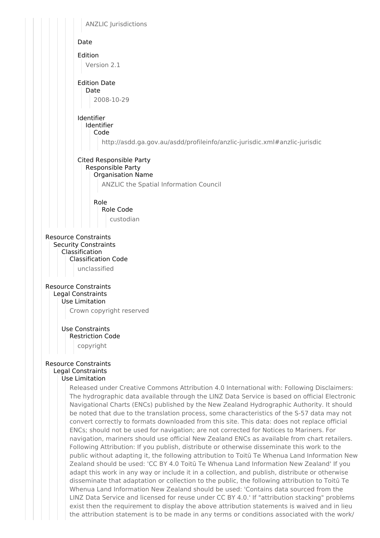

Whenua Land Information New Zealand should be used: 'Contains data sourced from the LINZ Data Service and licensed for reuse under CC BY 4.0.' If "attribution stacking" problems exist then the requirement to display the above attribution statements is waived and in lieu the attribution statement is to be made in any terms or conditions associated with the work/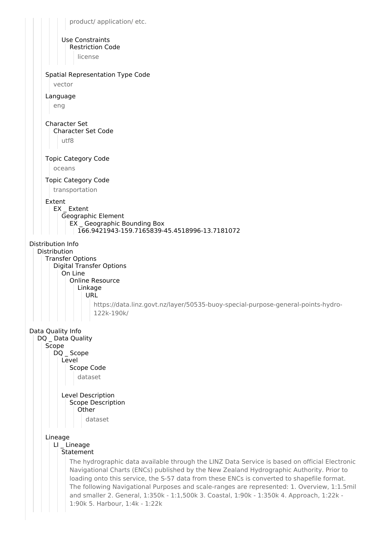